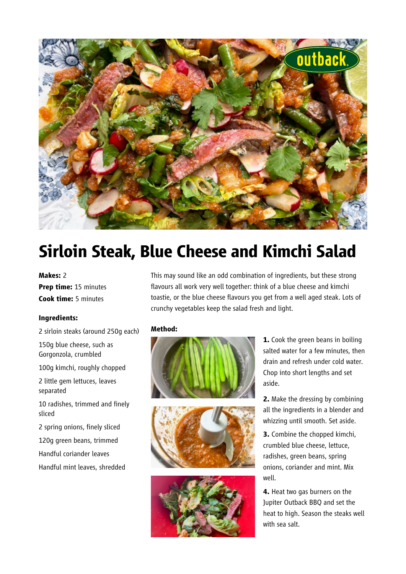

# **Sirloin Steak, Blue Cheese and Kimchi Salad**

#### **Makes:** 2

**Prep time:** 15 minutes **Cook time:** 5 minutes

### **Ingredients:**

2 sirloin steaks (around 250g each)

150g blue cheese, such as Gorgonzola, crumbled

100g kimchi, roughly chopped

2 little gem lettuces, leaves separated

10 radishes, trimmed and finely sliced

2 spring onions, finely sliced

120g green beans, trimmed

Handful coriander leaves

Handful mint leaves, shredded

This may sound like an odd combination of ingredients, but these strong flavours all work very well together: think of a blue cheese and kimchi toastie, or the blue cheese flavours you get from a well aged steak. Lots of crunchy vegetables keep the salad fresh and light.

### **Method:**







**1.** Cook the green beans in boiling salted water for a few minutes, then drain and refresh under cold water. Chop into short lengths and set aside.

**2.** Make the dressing by combining all the ingredients in a blender and whizzing until smooth. Set aside.

**3.** Combine the chopped kimchi, crumbled blue cheese, lettuce, radishes, green beans, spring onions, coriander and mint. Mix well.

**4.** Heat two gas burners on the Jupiter Outback BBQ and set the heat to high. Season the steaks well with sea salt.